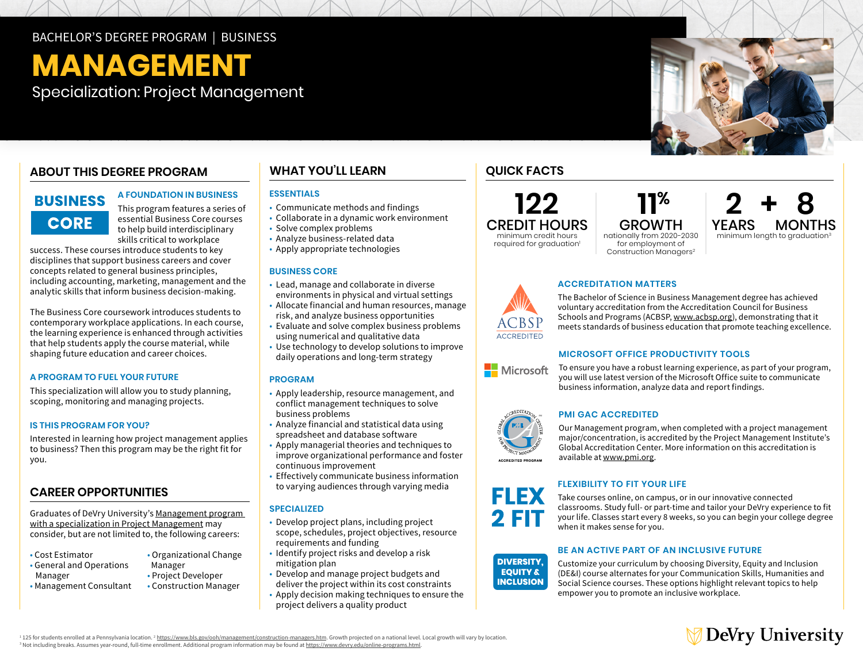# BACHELOR'S DEGREE PROGRAM | BUSINESS

# **MANAGEMENT**

Specialization: Project Management

# **ABOUT THIS DEGREE PROGRAM**

# **BUSINESS CORE**

# **A FOUNDATION IN BUSINESS**

This program features a series of essential Business Core courses to help build interdisciplinary skills critical to workplace

success. These courses introduce students to key disciplines that support business careers and cover concepts related to general business principles, including accounting, marketing, management and the analytic skills that inform business decision-making.

The Business Core coursework introduces students to contemporary workplace applications. In each course, the learning experience is enhanced through activities that help students apply the course material, while shaping future education and career choices.

# **A PROGRAM TO FUEL YOUR FUTURE**

This specialization will allow you to study planning, scoping, monitoring and managing projects.

# **IS THIS PROGRAM FOR YOU?**

Interested in learning how project management applies to business? Then this program may be the right fit for you.

# **CAREER OPPORTUNITIES**

Graduates of DeVry University's [Management program](https://www.devry.edu/online-programs/bachelors-degrees/business/project-management-specialization.html)  [with a specialization in Project Management](https://www.devry.edu/online-programs/bachelors-degrees/business/project-management-specialization.html) may consider, but are not limited to, the following careers:

- Cost Estimator
- General and Operations
- Organizational Change Manager • Project Developer

• Construction Manager

 Manager • Management Consultant

# **WHAT YOU'LL LEARN GUICK FACTS**

# **ESSENTIALS**

- Communicate methods and findings
- Collaborate in a dynamic work environment
- Solve complex problems
- Analyze business-related data
- Apply appropriate technologies

# **BUSINESS CORE**

- Lead, manage and collaborate in diverse environments in physical and virtual settings
- Allocate financial and human resources, manage risk, and analyze business opportunities
- Evaluate and solve complex business problems using numerical and qualitative data
- Use technology to develop solutions to improve
- daily operations and long-term strategy

# **PROGRAM**

- Apply leadership, resource management, and conflict management techniques to solve business problems
- Analyze financial and statistical data using spreadsheet and database software
- Apply managerial theories and techniques to improve organizational performance and foster continuous improvement
- Effectively communicate business information to varying audiences through varying media

# **SPECIALIZED**

- Develop project plans, including project scope, schedules, project objectives, resource requirements and funding
- Identify project risks and develop a risk mitigation plan
- Develop and manage project budgets and
- deliver the project within its cost constraints • Apply decision making techniques to ensure the project delivers a quality product

**122** CREDIT HOURS minimum credit hours

required for graduation<sup>1</sup>

GROWTH nationally from 2020-2030 for employment of Construction Managers<sup>2</sup>

 **11%**



# **ACCREDITATION MATTERS**

The Bachelor of Science in Business Management degree has achieved voluntary accreditation from the Accreditation Council for Business Schools and Programs (ACBSP, www.acbsp.org), demonstrating that it meets standards of business education that promote teaching excellence.

# **MICROSOFT OFFICE PRODUCTIVITY TOOLS**

To ensure you have a robust learning experience, as part of your program, you will use latest version of the Microsoft Office suite to communicate business information, analyze data and report findings.



**FLEX EQUITY & INCLUSION**

> **DIVERSITY, EQUITY & INCLUSION**

# **PMI GAC ACCREDITED**

Our Management program, when completed with a project management major/concentration, is accredited by the Project Management Institute's Global Accreditation Center. More information on this accreditation is available at [www.pmi.org](http:// www.pmi.org).

# **FLEXIBILITY TO FIT YOUR LIFE**

Take courses online, on campus, or in our innovative connected classrooms. Study full- or part-time and tailor your DeVry experience to fit your life. Classes start every 8 weeks, so you can begin your college degree **EQUITY &** when it makes sense for you. **INCLUSION**

# **BE AN ACTIVE PART OF AN INCLUSIVE FUTURE**

Customize your curriculum by choosing Diversity, Equity and Inclusion (DE&I) course alternates for your Communication Skills, Humanities and Social Science courses. These options highlight relevant topics to help empower you to promote an inclusive workplace.



<sup>1</sup> 125 for students enrolled at a Pennsylvania location. <sup>2</sup> <u>https://www.bls.gov/ooh/management/construction-managers.htm</u>. Growth projected on a national level. Local growth will vary by location. <sup>3</sup> Not including breaks. Assumes year-round, full-time enrollment. Additional program information may be found at <u>[https://www.devry.edu/](https://www.devry.edu/online-programs.html)online-programs.html</u>.

**ACCREDITEI**